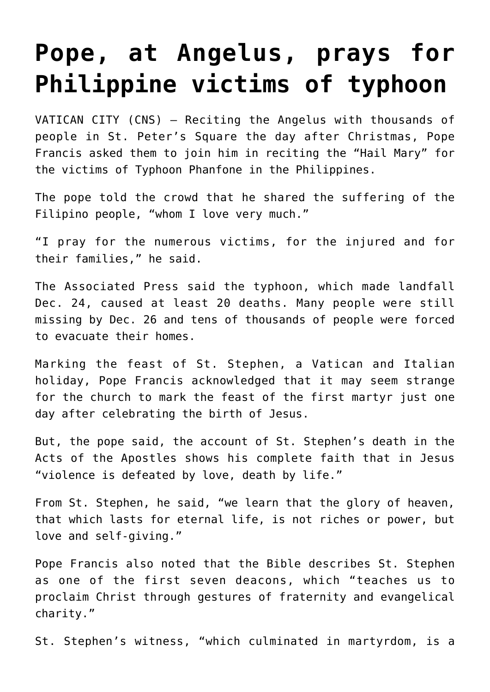## **[Pope, at Angelus, prays for](https://www.osvnews.com/2019/12/26/pope-at-angelus-prays-for-philippine-victims-of-typhoon/) [Philippine victims of typhoon](https://www.osvnews.com/2019/12/26/pope-at-angelus-prays-for-philippine-victims-of-typhoon/)**

VATICAN CITY (CNS) — Reciting the Angelus with thousands of people in St. Peter's Square the day after Christmas, Pope Francis asked them to join him in reciting the "Hail Mary" for the victims of Typhoon Phanfone in the Philippines.

The pope told the crowd that he shared the suffering of the Filipino people, "whom I love very much."

"I pray for the numerous victims, for the injured and for their families," he said.

The Associated Press said the typhoon, which made landfall Dec. 24, caused at least 20 deaths. Many people were still missing by Dec. 26 and tens of thousands of people were forced to evacuate their homes.

Marking the feast of St. Stephen, a Vatican and Italian holiday, Pope Francis acknowledged that it may seem strange for the church to mark the feast of the first martyr just one day after celebrating the birth of Jesus.

But, the pope said, the account of St. Stephen's death in the Acts of the Apostles shows his complete faith that in Jesus "violence is defeated by love, death by life."

From St. Stephen, he said, "we learn that the glory of heaven, that which lasts for eternal life, is not riches or power, but love and self-giving."

Pope Francis also noted that the Bible describes St. Stephen as one of the first seven deacons, which "teaches us to proclaim Christ through gestures of fraternity and evangelical charity."

St. Stephen's witness, "which culminated in martyrdom, is a